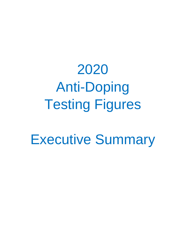# 2020 Anti-Doping Testing Figures

Executive Summary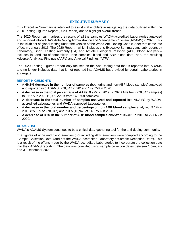## **EXECUTIVE SUMMARY**

This Executive Summary is intended to assist stakeholders in navigating the data outlined within the 2020 Testing Figures Report (2020 Report) and to highlight overall trends.

The 2020 Report summarizes the results of all the samples WADA-accredited Laboratories analyzed and reported into WADA's Anti-Doping Administration and Management System (ADAMS) in 2020. This is the sixth set of global testing under the version of the World Anti-Doping Code (Code) that came into effect in January 2015. The 2020 Report – which includes this Executive Summary and sub-reports by Laboratory, Sport, Testing Authority (TA) and Athlete Biological Passport (ABP) Blood Analysis – includes in- and out-of-competition urine samples; blood and ABP blood data; and, the resulting Adverse Analytical Findings (AAFs) and Atypical Findings (ATFs).

The 2020 Testing Figures Report only focuses on the Anti-Doping data that is reported into ADAMS and no longer includes data that is not reported into ADAMS but provided by certain Laboratories in aggregate.

#### **REPORT HIGHLIGHTS**

- A **46.1% decrease in the number of samples** (both urine and non-ABP blood samples) analyzed and reported into ADAMS: 278,047 in 2019 to 149,758 in 2020.
- A **decrease in the total percentage of AAFs**: 0.97% in 2019 (2,702 AAFs from 278,047 samples) to 0.67% in 2020 (1,009 AAFs from 149,758 samples).
- **A decrease in the total number of samples analyzed and reported** into ADAMS by WADAaccredited Laboratories and WADA-approved Laboratories.
- A **decrease in the total number and percentage of non-ABP blood samples** analyzed: 9.1% in 2019 (25,339 of 278,047) and 7.3% (10,940 of 149,758) in 2020.
- A **decrease of 38% in the number of ABP blood samples** analyzed: 36,401 in 2019 to 22,666 in 2020.

#### **ADAMS USE**

WADA's ADAMS System continues to be a critical data-gathering tool for the anti-doping community.

The figures of urine and blood samples (not including ABP samples) were compiled according to the 'Sample Collection Date' (and not the WADA-accredited Laboratory's 'Sample Reception Date'). This is a result of the efforts made by the WADA-accredited Laboratories to incorporate the collection date into their ADAMS reporting. The data was compiled using sample collection dates between 1 January and 31 December 2020.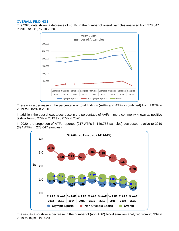#### **OVERALL FINDINGS**

The 2020 data shows a decrease of 46.1% in the number of overall samples analyzed from 278,047 in 2019 to 149,758 in 2020.



There was a decrease in the percentage of total findings (AAFs and ATFs - combined) from 1.07% in 2019 to 0.82% in 2020.

In addition, the data shows a decrease in the percentage of AAFs – more commonly known as positive tests – from 0.97% in 2019 to 0.67% in 2020.

In 2020, the proportion of ATFs reported (217 ATFs in 149,758 samples) decreased relative to 2019 (394 ATFs in 278,047 samples).



The results also show a decrease in the number of (non-ABP) blood samples analyzed from 25,339 in 2019 to 10,940 in 2020.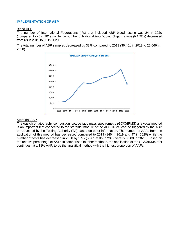#### **IMPLEMENTATION OF ABP**

#### Blood ABP

The number of International Federations (IFs) that included ABP blood testing was 24 in 2020 (compared to 25 in 2019) while the number of National Anti-Doping Organizations (NADOs) decreased from 68 in 2019 to 60 in 2020.

The total number of ABP samples decreased by 38% compared to 2019 (36,401 in 2019 to 22,666 in 2020).



#### Steroidal ABP

The gas chromatography combustion isotope ratio mass spectrometry (GC/C/IRMS) analytical method is an important test connected to the steroidal module of the ABP. IRMS can be triggered by the ABP or requested by the Testing Authority (TA) based on other information. The number of AAFs from the application of this method has decreased compared to 2019 (146 in 2019 and 47 in 2020) while the number of tests has decreased in 2020 by 37% (5,661 tests in 2019 versus 3,588 in 2020). Based on the relative percentage of AAFs in comparison to other methods, the application of the GC/C/IRMS test continues, at 1.31% AAF, to be the analytical method with the highest proportion of AAFs.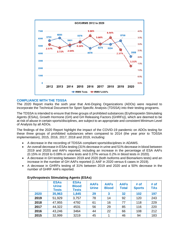

#### **COMPLIANCE WITH THE TDSSA**

The 2020 Report marks the sixth year that Anti-Doping Organizations (ADOs) were required to incorporate the Technical Document for Sport Specific Analysis (TDSSA) into their testing programs.

The TDSSA is intended to ensure that three groups of prohibited substances (Erythropoietin Stimulating Agents (ESAs), Growth Hormone (GH) and GH Releasing Factors (GHRFs)), which are deemed to be at risk of abuse in certain sports/disciplines, are subject to an appropriate and consistent Minimum Level of Analysis by all ADOs.

The findings of the 2020 Report highlight the impact of the COVID-19 pandemic on ADOs testing for these three groups of prohibited substances when compared to 2014 (the year prior to TDSSA implementation), 2015, 2016, 2017, 2018 and 2019, including:

- A decrease in the recording of TDSSA compliant sports/disciplines in ADAMS.
- An overall decrease in ESAs testing (31% decrease in urine and 51% decrease in blood between 2019 and 2020) and AAFs reported, including an increase in the percentage of ESA AAFs (0.15% in 2018 to 0.08% in urine tests and 0.37% versus 0.2% in blood tests in 2020).
- A decrease in GH testing between 2019 and 2020 (both Isoforms and Biomarkers tests) and an increase in the number of GH AAFs reported (1 AAF in 2020 versus 6 cases in 2019).
- A decrease in GHRFs testing of 31% between 2019 and 2020 and a 50% decrease in the number of GHRF AAFs reported.

|      | <b>ESAs</b><br><b>Urine</b><br><b>Tests</b> | <b>ESAs</b><br><b>Blood</b><br><b>Tests</b> | <b>AAFs</b><br><b>Urine</b> | <b>AAFs</b><br><b>Blood</b> | <b>AAFs</b><br><b>Total</b> | # of<br><b>Sports</b> | # of<br><b>TAs</b> |
|------|---------------------------------------------|---------------------------------------------|-----------------------------|-----------------------------|-----------------------------|-----------------------|--------------------|
| 2020 | 35,963                                      | 1,845                                       | 29                          | 3                           | 32                          | 102                   | 197                |
| 2019 | 51,929                                      | 3,757                                       | 78                          | 14                          | 92                          | 120                   | 243                |
| 2018 | 47,955                                      | 4792                                        | 61                          | 16                          | 77                          | 118                   | 229                |
| 2017 | 44,322                                      | 4531                                        | 56                          | 29                          | 85                          | 116                   | 220                |
| 2016 | 43,246                                      | 3464                                        | 44                          | 22                          | 66                          | 108                   | 212                |
| 2015 | 32,999                                      | 3219                                        | 45                          |                             | 46                          | 94                    | 183                |

#### **Erythropoiesis Stimulating Agents (ESAs)**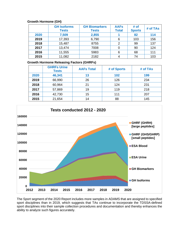## **Growth Hormone (GH)**

|      | <b>GH Isoforms</b><br><b>Tests</b> | <b>GH Biomarkers</b><br><b>Tests</b> | <b>AAFs</b><br><b>Total</b> | # of<br><b>Sports</b> | # of TAs |
|------|------------------------------------|--------------------------------------|-----------------------------|-----------------------|----------|
| 2020 | 7,509                              | 2,855                                |                             | 82                    | 114      |
| 2019 | 17,393                             | 6,790                                | 6                           | 103                   | 156      |
| 2018 | 15,487                             | 8755                                 | 2                           | 99                    | 137      |
| 2017 | 13,474                             | 7008                                 |                             | 90                    | 124      |
| 2016 | 11,555                             | 5983                                 | 6                           | 68                    | 111      |
| 2015 | 11,082                             | 2182                                 | 4                           | 74                    | 103      |

## **Growth Hormone Releasing Factors (GHRFs)**

|      | <b>GHRFs Urine</b><br><b>Tests</b> | <b>AAFs Total</b> | # of Sports | # of TAs |
|------|------------------------------------|-------------------|-------------|----------|
| 2020 | 46,341                             | 13                | 102         | 199      |
| 2019 | 66,990                             | 26                | 126         | 234      |
| 2018 | 60,964                             | 21                | 124         | 231      |
| 2017 | 57,869                             | 19                | 119         | 218      |
| 2016 | 42,730                             | 15                | 111         | 207      |
| 2015 | 21,654                             | 14                | 88          | 145      |



The Sport segment of the 2020 Report includes more samples in ADAMS that are assigned to specified sport disciplines than in 2019, which suggests that TAs continue to incorporate the TDSSA-defined sport disciplines into their sample collection procedures and documentation and thereby enhances the ability to analyze such figures accurately.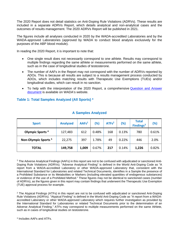The 2020 Report does not detail statistics on Anti-Doping Rule Violations (ADRVs). These results are included in a separate ADRVs Report, which details analytical and non-analytical cases and the outcomes of results management. The 2020 ADRVs Report will be published in 2021.

The figures include all analyses conducted in 2020 by the WADA-accredited Laboratories and by the WADA-approved Laboratories (approved by WADA to conduct blood analysis exclusively for the purposes of the ABP blood module).

In reading the 2020 Report, it is important to note that:

- One single result does not necessarily correspond to one athlete. Results may correspond to multiple findings regarding the same athlete or measurements performed on the same athlete, such as in the case of longitudinal studies of testosterone.
- The number of AAFs in the Report may not correspond with the number of ADRVs reported by ADOs. This is because all results are subject to a results management process conducted by ADOs, which includes matching results with Therapeutic Use Exemptions (TUEs) and/or longitudinal studies, which can result in no sanction.
- To help with the interpretation of the 2020 Report, a comprehensive [Question and Answer](https://www.wada-ama.org/en/resources/laboratories/anti-doping-testing-figures-report) [document](https://www.wada-ama.org/en/resources/laboratories/anti-doping-testing-figures-report) is available on WADA's website.

# **Table 1: Total Samples Analyzed (All Sports) \***

| <b>Sport</b>                    | <b>Analyzed</b> | AAFs <sup>1</sup> | (%)   | ATFs <sup>2</sup> | (%)   | <b>Total</b><br>Findings <sup>3</sup> | (%)   |
|---------------------------------|-----------------|-------------------|-------|-------------------|-------|---------------------------------------|-------|
| Olympic Sports <sup>4</sup>     | 127,483         | 612               | 0.48% | 168               | 0.13% | 780                                   | 0.61% |
| Non-Olympic Sports <sup>5</sup> | 22,275          | 397               | 1.78% | 49                | 0.22% | 446                                   | 2.0%  |
| <b>TOTAL</b>                    | 149,758         | 1,009             | 0.67% | 217               | 0.14% | 1,226                                 | 0.82% |

## **A Samples Analyzed**

<sup>1</sup> The Adverse Analytical Findings (AAFs) in this report are not to be confused with adjudicated or sanctioned Anti-Doping Rule Violations (ADRVs). "Adverse Analytical Finding" is defined in the World Anti-Doping Code as "A report from a WADA-accredited Laboratory or other WADA-approved Laboratory that, consistent with the International Standard for Laboratories and related Technical Documents, identifies in a Sample the presence of a Prohibited Substance or its Metabolites or Markers (including elevated quantities of endogenous substances) or evidence of the use of a Prohibited Method." These figures may not be identical to sanctioned cases (number of ADRVs), as the figures given in this report may contain findings that underwent the Therapeutic Use Exemption (TUE) approval process for example.

<sup>2</sup> The Atypical Findings (ATFs) in this report are not to be confused with adjudicated or sanctioned Anti-Doping Rule Violations (ADRVs). "Atypical Finding" is defined in the World Anti-Doping Code as "A report from a WADAaccredited Laboratory or other WADA-approved Laboratory which requires further investigation as provided by the International Standard for Laboratories or related Technical Documents prior to the determination of an Adverse Analytical Finding." ATFs may correspond to multiple measurements performed on the same Athlete, such as in cases of longitudinal studies on testosterone.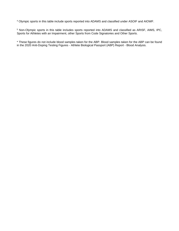<sup>4</sup> Olympic sports in this table include sports reported into ADAMS and classified under ASOIF and AIOWF.

<sup>5</sup> Non-Olympic sports in this table includes sports reported into ADAMS and classified as ARISF, AIMS, IPC, Sports for Athletes with an Impairment, other Sports from Code Signatories and Other Sports.

\* These figures do not include blood samples taken for the ABP. Blood samples taken for the ABP can be found in the 2020 Anti-Doping Testing Figures - Athlete Biological Passport (ABP) Report - Blood Analysis.